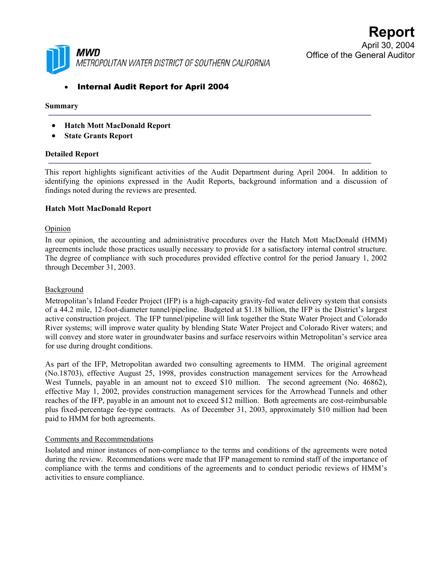

# • Internal Audit Report for April 2004

### **Summary**

- **Hatch Mott MacDonald Report**
- **State Grants Report**

#### **Detailed Report**

This report highlights significant activities of the Audit Department during April 2004. In addition to identifying the opinions expressed in the Audit Reports, background information and a discussion of findings noted during the reviews are presented.

#### **Hatch Mott MacDonald Report**

#### **Opinion**

In our opinion, the accounting and administrative procedures over the Hatch Mott MacDonald (HMM) agreements include those practices usually necessary to provide for a satisfactory internal control structure. The degree of compliance with such procedures provided effective control for the period January 1, 2002 through December 31, 2003.

#### Background

Metropolitan's Inland Feeder Project (IFP) is a high-capacity gravity-fed water delivery system that consists of a 44.2 mile, 12-foot-diameter tunnel/pipeline. Budgeted at \$1.18 billion, the IFP is the District's largest active construction project. The IFP tunnel/pipeline will link together the State Water Project and Colorado River systems; will improve water quality by blending State Water Project and Colorado River waters; and will convey and store water in groundwater basins and surface reservoirs within Metropolitan's service area for use during drought conditions.

As part of the IFP, Metropolitan awarded two consulting agreements to HMM. The original agreement (No.18703), effective August 25, 1998, provides construction management services for the Arrowhead West Tunnels, payable in an amount not to exceed \$10 million. The second agreement (No. 46862), effective May 1, 2002, provides construction management services for the Arrowhead Tunnels and other reaches of the IFP, payable in an amount not to exceed \$12 million. Both agreements are cost-reimbursable plus fixed-percentage fee-type contracts. As of December 31, 2003, approximately \$10 million had been paid to HMM for both agreements.

#### Comments and Recommendations

Isolated and minor instances of non-compliance to the terms and conditions of the agreements were noted during the review. Recommendations were made that IFP management to remind staff of the importance of compliance with the terms and conditions of the agreements and to conduct periodic reviews of HMM's activities to ensure compliance.